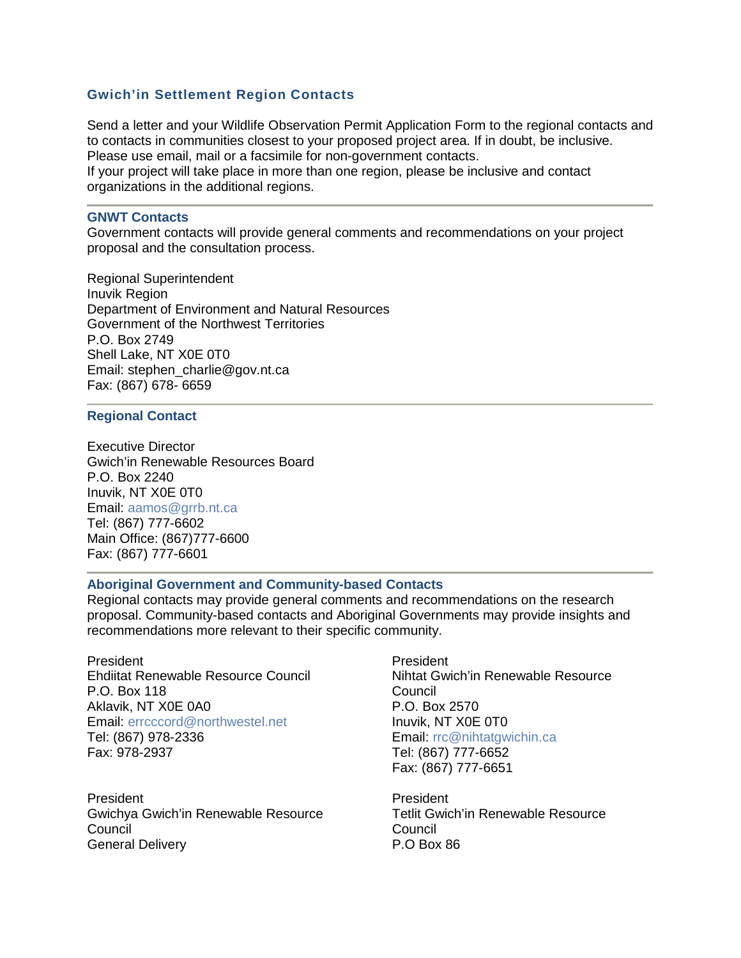## **Gwich'in Settlement Region Contacts**

Send a letter and your Wildlife Observation Permit Application Form to the regional contacts and to contacts in communities closest to your proposed project area. If in doubt, be inclusive. Please use email, mail or a facsimile for non-government contacts. If your project will take place in more than one region, please be inclusive and contact organizations in the additional regions.

## **GNWT Contacts**

Government contacts will provide general comments and recommendations on your project proposal and the consultation process.

Regional Superintendent Inuvik Region Department of Environment and Natural Resources Government of the Northwest Territories P.O. Box 2749 Shell Lake, NT X0E 0T0 Email: stephen\_charlie@gov.nt.ca Fax: (867) 678- 6659

## **Regional Contact**

Executive Director Gwich'in Renewable Resources Board P.O. Box 2240 Inuvik, NT X0E 0T0 Email: [aamos@grrb.nt.ca](mailto:aamos@grrb.nt.ca) Tel: (867) 777-6602 Main Office: (867)777-6600 Fax: (867) 777-6601

## **Aboriginal Government and Community-based Contacts**

Regional contacts may provide general comments and recommendations on the research proposal. Community-based contacts and Aboriginal Governments may provide insights and recommendations more relevant to their specific community.

Ehdiitat Renewable Resource Council P.O. Box 118 Council Aklavik, NT X0E 0A0 P.O. Box 2570 Email: [errcccord@northwestel.net](mailto:errcccord@northwestel.net) Inuvik, NT X0E 0T0 Tel: (867) 978-2336 Email: [rrc@nihtatgwichin.ca](mailto:rrc@nihtatgwichin.ca)

President President Gwichya Gwich'in Renewable Resource Tetlit Gwich'in Renewable Resource Council Council General Delivery **P.O Box 86** 

President<br>Ehdiitat Renewable Resource Council entity of Mihtat Gwich'in Renewable Resource Tel: (867) 777-6652 Fax: (867) 777-6651